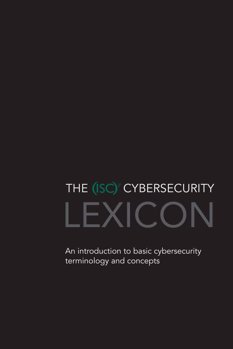## LEXICON THE (ISC)<sup>2</sup> CYBERSECURITY

An introduction to basic cybersecurity terminology and concepts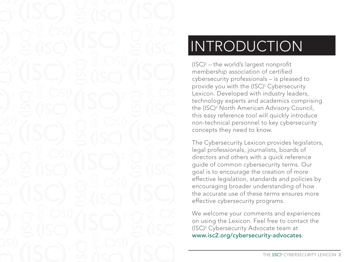

### **INTRODUCTION**

(ISC) 2 – the world's largest nonprofit membership association of certified cybersecurity professionals – is pleased to provide you with the (ISC) 2 Cybersecurity Lexicon. Developed with industry leaders, technology experts and academics comprising the (ISC) 2 North American Advisory Council, this easy reference tool will quickly introduce non-technical personnel to key cybersecurity concepts they need to know.

The Cybersecurity Lexicon provides legislators, legal professionals, journalists, boards of directors and others with a quick reference guide of common cybersecurity terms. Our goal is to encourage the creation of more effective legislation, standards and policies by encouraging broader understanding of how the accurate use of these terms ensures more effective cybersecurity programs.

We welcome your comments and experiences on using the Lexicon. Feel free to contact the (ISC) 2 Cybersecurity Advocate team at www.isc2.org/cybersecurity-advocates.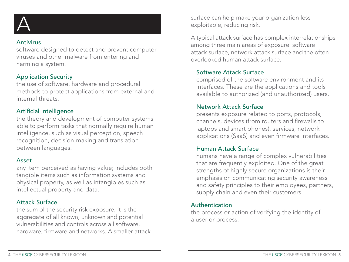

#### Antivirus

software designed to detect and prevent computer viruses and other malware from entering and harming a system.

#### Application Security

the use of software, hardware and procedural methods to protect applications from external and internal threats.

#### Artificial Intelligence

the theory and development of computer systems able to perform tasks that normally require human intelligence, such as visual perception, speech recognition, decision-making and translation between languages.

#### Asset

any item perceived as having value; includes both tangible items such as information systems and physical property, as well as intangibles such as intellectual property and data.

#### Attack Surface

the sum of the security risk exposure; it is the aggregate of all known, unknown and potential vulnerabilities and controls across all software, hardware, firmware and networks. A smaller attack surface can help make your organization less exploitable, reducing risk.

A typical attack surface has complex interrelationships among three main areas of exposure: software attack surface, network attack surface and the oftenoverlooked human attack surface.

### Software Attack Surface

comprised of the software environment and its interfaces. These are the applications and tools available to authorized (and unauthorized) users.

#### Network Attack Surface

presents exposure related to ports, protocols, channels, devices (from routers and firewalls to laptops and smart phones), services, network applications (SaaS) and even firmware interfaces.

#### Human Attack Surface

humans have a range of complex vulnerabilities that are frequently exploited. One of the great strengths of highly secure organizations is their emphasis on communicating security awareness and safety principles to their employees, partners, supply chain and even their customers.

#### Authentication

the process or action of verifying the identity of a user or process.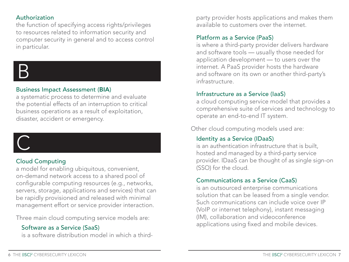#### Authorization

the function of specifying access rights/privileges to resources related to information security and computer security in general and to access control in particular.



#### Business Impact Assessment (BIA)

a systematic process to determine and evaluate the potential effects of an interruption to critical business operations as a result of exploitation, disaster, accident or emergency.

#### Cloud Computing

a model for enabling ubiquitous, convenient, on-demand network access to a shared pool of configurable computing resources (e.g., networks, servers, storage, applications and services) that can be rapidly provisioned and released with minimal management effort or service provider interaction.

Three main cloud computing service models are:

#### Software as a Service (SaaS)

is a software distribution model in which a third-

party provider hosts applications and makes them available to customers over the internet.

#### Platform as a Service (PaaS)

is where a third-party provider delivers hardware and software tools — usually those needed for application development — to users over the internet. A PaaS provider hosts the hardware and software on its own or another third-party's infrastructure.

#### Infrastructure as a Service (IaaS)

a cloud computing service model that provides a comprehensive suite of services and technology to operate an end-to-end IT system.

Other cloud computing models used are:

#### Identity as a Service (IDaaS)

is an authentication infrastructure that is built, hosted and managed by a third-party service provider. IDaaS can be thought of as single sign-on (SSO) for the cloud.

#### Communications as a Service (CaaS)

is an outsourced enterprise communications solution that can be leased from a single vendor. Such communications can include voice over IP (VoIP or internet telephony), instant messaging (IM), collaboration and videoconference applications using fixed and mobile devices.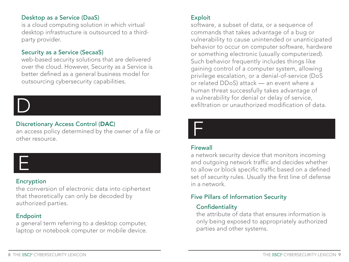#### Desktop as a Service (DaaS)

is a cloud computing solution in which virtual desktop infrastructure is outsourced to a thirdparty provider.

#### Security as a Service (SecaaS)

web-based security solutions that are delivered over the cloud. However, Security as a Service is better defined as a general business model for outsourcing cybersecurity capabilities.

# D

#### Discretionary Access Control (DAC)

an access policy determined by the owner of a file or other resource.



#### Encryption

the conversion of electronic data into ciphertext that theoretically can only be decoded by authorized parties.

#### Endpoint

a general term referring to a desktop computer, laptop or notebook computer or mobile device.

#### Exploit

software, a subset of data, or a sequence of commands that takes advantage of a bug or vulnerability to cause unintended or unanticipated behavior to occur on computer software, hardware or something electronic (usually computerized). Such behavior frequently includes things like gaining control of a computer system, allowing privilege escalation, or a denial-of-service (DoS or related DDoS) attack — an event where a human threat successfully takes advantage of a vulnerability for denial or delay of service, exfiltration or unauthorized modification of data.



#### **Firewall**

a network security device that monitors incoming and outgoing network traffic and decides whether to allow or block specific traffic based on a defined set of security rules. Usually the first line of defense in a network.

#### Five Pillars of Information Security

#### **Confidentiality**

the attribute of data that ensures information is only being exposed to appropriately authorized parties and other systems.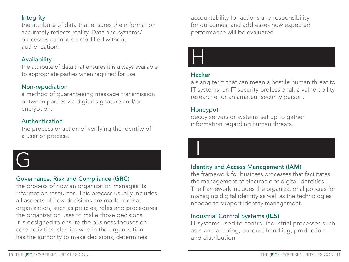#### **Integrity**

the attribute of data that ensures the information accurately reflects reality. Data and systems/ processes cannot be modified without authorization.

#### Availability

the attribute of data that ensures it is always available to appropriate parties when required for use.

#### Non-repudiation

a method of guaranteeing message transmission between parties via digital signature and/or encryption.

#### Authentication

the process or action of verifying the identity of a user or process.



### Governance, Risk and Compliance (GRC)

the process of how an organization manages its information resources. This process usually includes all aspects of how decisions are made for that organization, such as policies, roles and procedures the organization uses to make those decisions. It is designed to ensure the business focuses on core activities, clarifies who in the organization has the authority to make decisions, determines

accountability for actions and responsibility for outcomes, and addresses how expected performance will be evaluated.



#### Hacker

a slang term that can mean a hostile human threat to IT systems, an IT security professional, a vulnerability researcher or an amateur security person.

#### Honeypot

 $\overline{\mathbf{I}}$ 

decoy servers or systems set up to gather information regarding human threats.

#### Identity and Access Management (IAM)

the framework for business processes that facilitates the management of electronic or digital identities. The framework includes the organizational policies for managing digital identity as well as the technologies needed to support identity management.

#### Industrial Control Systems (ICS)

IT systems used to control industrial processes such as manufacturing, product handling, production and distribution.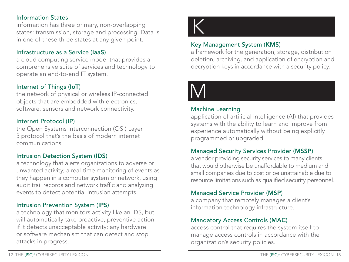#### Information States

information has three primary, non-overlapping states: transmission, storage and processing. Data is in one of these three states at any given point.

#### Infrastructure as a Service (IaaS)

a cloud computing service model that provides a comprehensive suite of services and technology to operate an end-to-end IT system.

#### Internet of Things (IoT)

the network of physical or wireless IP-connected objects that are embedded with electronics, software, sensors and network connectivity.

#### Internet Protocol (IP)

the Open Systems Interconnection (OSI) Layer 3 protocol that's the basis of modern internet communications.

#### Intrusion Detection System (IDS)

a technology that alerts organizations to adverse or unwanted activity; a real-time monitoring of events as they happen in a computer system or network, using audit trail records and network traffic and analyzing events to detect potential intrusion attempts.

#### Intrusion Prevention System (IPS)

a technology that monitors activity like an IDS, but will automatically take proactive, preventive action if it detects unacceptable activity; any hardware or software mechanism that can detect and stop attacks in progress.



#### Key Management System (KMS)

a framework for the generation, storage, distribution deletion, archiving, and application of encryption and decryption keys in accordance with a security policy.



#### Machine Learning

application of artificial intelligence (AI) that provides systems with the ability to learn and improve from experience automatically without being explicitly programmed or upgraded.

#### Managed Security Services Provider (MSSP)

a vendor providing security services to many clients that would otherwise be unaffordable to medium and small companies due to cost or be unattainable due to resource limitations such as qualified security personnel.

#### Managed Service Provider (MSP)

a company that remotely manages a client's information technology infrastructure.

#### Mandatory Access Controls (MAC)

access control that requires the system itself to manage access controls in accordance with the organization's security policies.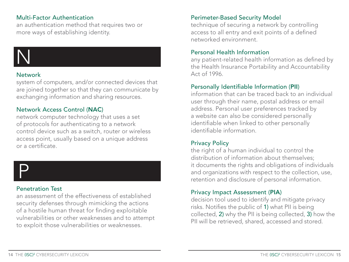#### Multi-Factor Authentication

an authentication method that requires two or more ways of establishing identity.

# N

#### Network

system of computers, and/or connected devices that are joined together so that they can communicate by exchanging information and sharing resources.

#### Network Access Control (NAC)

network computer technology that uses a set of protocols for authenticating to a network control device such as a switch, router or wireless access point, usually based on a unique address or a certificate.

# P

#### Penetration Test

an assessment of the effectiveness of established security defenses through mimicking the actions of a hostile human threat for finding exploitable vulnerabilities or other weaknesses and to attempt to exploit those vulnerabilities or weaknesses.

#### Perimeter-Based Security Model

technique of securing a network by controlling access to all entry and exit points of a defined networked environment.

#### Personal Health Information

any patient-related health information as defined by the Health Insurance Portability and Accountability Act of 1996.

#### Personally Identifiable Information (PII)

information that can be traced back to an individual user through their name, postal address or email address. Personal user preferences tracked by a website can also be considered personally identifiable when linked to other personally identifiable information.

#### Privacy Policy

the right of a human individual to control the distribution of information about themselves; it documents the rights and obligations of individuals and organizations with respect to the collection, use, retention and disclosure of personal information.

#### Privacy Impact Assessment (PIA)

decision tool used to identify and mitigate privacy risks. Notifies the public of 1) what PII is being collected, 2) why the PII is being collected, 3) how the PII will be retrieved, shared, accessed and stored.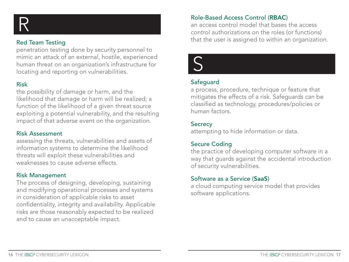

#### Red Team Testing

penetration testing done by security personnel to mimic an attack of an external, hostile, experienced human threat on an organization's infrastructure for locating and reporting on vulnerabilities.

#### Risk

the possibility of damage or harm, and the likelihood that damage or harm will be realized; a function of the likelihood of a given threat source exploiting a potential vulnerability, and the resulting impact of that adverse event on the organization.

#### Risk Assessment

assessing the threats, vulnerabilities and assets of information systems to determine the likelihood threats will exploit these vulnerabilities and weaknesses to cause adverse effects.

#### Risk Management

The process of designing, developing, sustaining and modifying operational processes and systems in consideration of applicable risks to asset confidentiality, integrity and availability. Applicable risks are those reasonably expected to be realized and to cause an unacceptable impact.

Role-Based Access Control (RBAC)<br>
an access control model that bases<br>
control authorizations on the roles ( an access control model that bases the access control authorizations on the roles (or functions) that the user is assigned to within an organization.



#### **Safeguard**

a process, procedure, technique or feature that mitigates the effects of a risk. Safeguards can be classified as technology, procedures/policies or human factors.

#### **Secrecy**

attempting to hide information or data.

#### Secure Coding

the practice of developing computer software in a way that guards against the accidental introduction of security vulnerabilities.

#### Software as a Service (SaaS)

a cloud computing service model that provides software applications.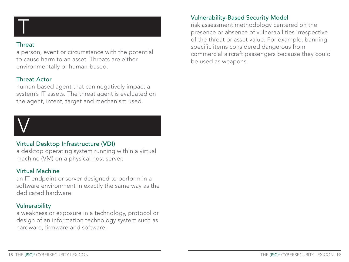

#### **Threat**

a person, event or circumstance with the potential to cause harm to an asset. Threats are either environmentally or human-based.

#### Threat Actor

human-based agent that can negatively impact a system's IT assets. The threat agent is evaluated on the agent, intent, target and mechanism used.



#### Virtual Desktop Infrastructure (VDI)

a desktop operating system running within a virtual machine (VM) on a physical host server.

#### Virtual Machine

an IT endpoint or server designed to perform in a software environment in exactly the same way as the dedicated hardware.

#### **Vulnerability**

a weakness or exposure in a technology, protocol or design of an information technology system such as hardware, firmware and software.

#### Vulnerability-Based Security Model

risk assessment methodology centered on the presence or absence of vulnerabilities irrespective of the threat or asset value. For example, banning specific items considered dangerous from commercial aircraft passengers because they could be used as weapons.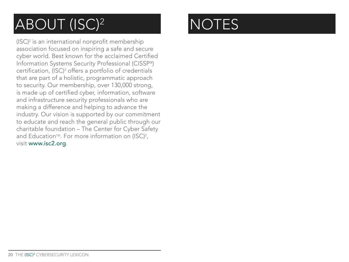## ABOUT (ISC)<sup>2</sup> NOTES

(ISC)2 is an international nonprofit membership association focused on inspiring a safe and secure cyber world. Best known for the acclaimed Certified Information Systems Security Professional (CISSP®) certification, (ISC)<sup>2</sup> offers a portfolio of credentials that are part of a holistic, programmatic approach to security. Our membership, over 130,000 strong, is made up of certified cyber, information, software and infrastructure security professionals who are making a difference and helping to advance the industry. Our vision is supported by our commitment to educate and reach the general public through our charitable foundation – The Center for Cyber Safety and Education™. For more information on (ISC)<sup>2</sup>, visit www.isc2.org.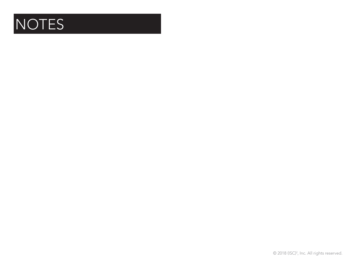